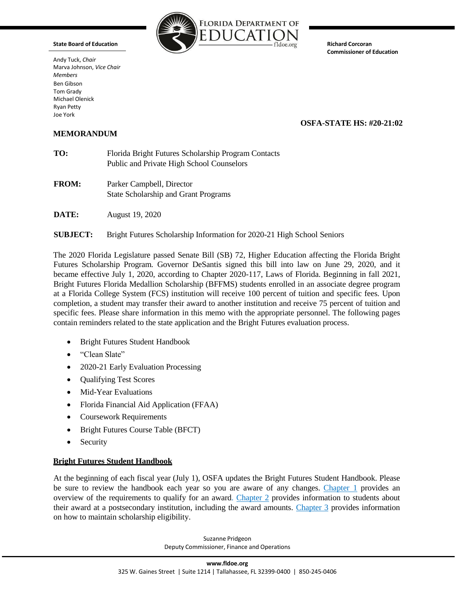**State Board of Education**

Andy Tuck, *Chair* Marva Johnson, *Vice Chair Members* Ben Gibson Tom Grady Michael Olenick Ryan Petty Joe York



**Richard Corcoran Commissioner of Education**

# **OSFA-STATE HS: #20-21:02**

# **MEMORANDUM**

| TO: | Florida Bright Futures Scholarship Program Contacts |
|-----|-----------------------------------------------------|
|     | Public and Private High School Counselors           |

- **FROM:** Parker Campbell, Director State Scholarship and Grant Programs
- **DATE:** August 19, 2020
- **SUBJECT:** Bright Futures Scholarship Information for 2020-21 High School Seniors

The 2020 Florida Legislature passed Senate Bill (SB) 72, Higher Education affecting the Florida Bright Futures Scholarship Program. Governor DeSantis signed this bill into law on June 29, 2020, and it became effective July 1, 2020, according to Chapter 2020-117, Laws of Florida. Beginning in fall 2021, Bright Futures Florida Medallion Scholarship (BFFMS) students enrolled in an associate degree program at a Florida College System (FCS) institution will receive 100 percent of tuition and specific fees. Upon completion, a student may transfer their award to another institution and receive 75 percent of tuition and specific fees. Please share information in this memo with the appropriate personnel. The following pages contain reminders related to the state application and the Bright Futures evaluation process.

- Bright Futures Student Handbook
- "Clean Slate"
- 2020-21 Early Evaluation Processing
- Qualifying Test Scores
- Mid-Year Evaluations
- Florida Financial Aid Application (FFAA)
- Coursework Requirements
- Bright Futures Course Table (BFCT)
- Security

# **Bright Futures Student Handbook**

At the beginning of each fiscal year (July 1), OSFA updates the Bright Futures Student Handbook. Please be sure to review the handbook each year so you are aware of any changes. [Chapter](https://www.floridastudentfinancialaidsg.org/PDF/BFHandbookChapter1.pdf) 1 provides an overview of the requirements to qualify for an award. Chapter 2 provides information to students about their award at a postsecondary institution, including the award amounts. Chapter 3 provides information on how to maintain scholarship eligibility.

> Suzanne Pridgeon Deputy Commissioner, Finance and Operations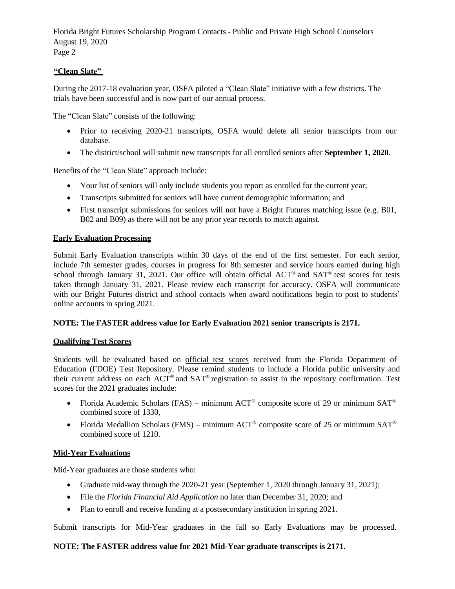Florida Bright Futures Scholarship Program Contacts - Public and Private High School Counselors August 19, 2020 Page 2

# **"Clean Slate"**

During the 2017-18 evaluation year, OSFA piloted a "Clean Slate" initiative with a few districts. The trials have been successful and is now part of our annual process.

The "Clean Slate" consists of the following:

- Prior to receiving 2020-21 transcripts, OSFA would delete all senior transcripts from our database.
- The district/school will submit new transcripts for all enrolled seniors after **September 1, 2020**.

Benefits of the "Clean Slate" approach include:

- Your list of seniors will only include students you report as enrolled for the current year;
- Transcripts submitted for seniors will have current demographic information; and
- First transcript submissions for seniors will not have a Bright Futures matching issue (e.g. B01, B02 and B09) as there will not be any prior year records to match against.

### **Early Evaluation Processing**

Submit Early Evaluation transcripts within 30 days of the end of the first semester. For each senior, include 7th semester grades, courses in progress for 8th semester and service hours earned during high school through January 31, 2021. Our office will obtain official ACT<sup>®</sup> and SAT<sup>®</sup> test scores for tests taken through January 31, 2021. Please review each transcript for accuracy. OSFA will communicate with our Bright Futures district and school contacts when award notifications begin to post to students' online accounts in spring 2021.

### **NOTE: The FASTER address value for Early Evaluation 2021 senior transcripts is 2171.**

#### **Qualifying Test Scores**

Students will be evaluated based on official test scores received from the Florida Department of Education (FDOE) Test Repository. Please remind students to include a Florida public university and their current address on each ACT® and SAT® registration to assist in the repository confirmation. Test scores for the 2021 graduates include:

- Florida Academic Scholars (FAS) minimum ACT<sup>®</sup> composite score of 29 or minimum SAT<sup>®</sup> combined score of 1330,
- Florida Medallion Scholars (FMS) minimum ACT<sup>®</sup> composite score of 25 or minimum SAT<sup>®</sup> combined score of 1210.

#### **Mid-Year Evaluations**

Mid-Year graduates are those students who:

- Graduate mid-way through the 2020-21 year (September 1, 2020 through January 31, 2021);
- File the *Florida Financial Aid Application* no later than December 31, 2020; and
- Plan to enroll and receive funding at a postsecondary institution in spring 2021.

Submit transcripts for Mid-Year graduates in the fall so Early Evaluations may be processed.

#### **NOTE: The FASTER address value for 2021 Mid-Year graduate transcripts is 2171.**